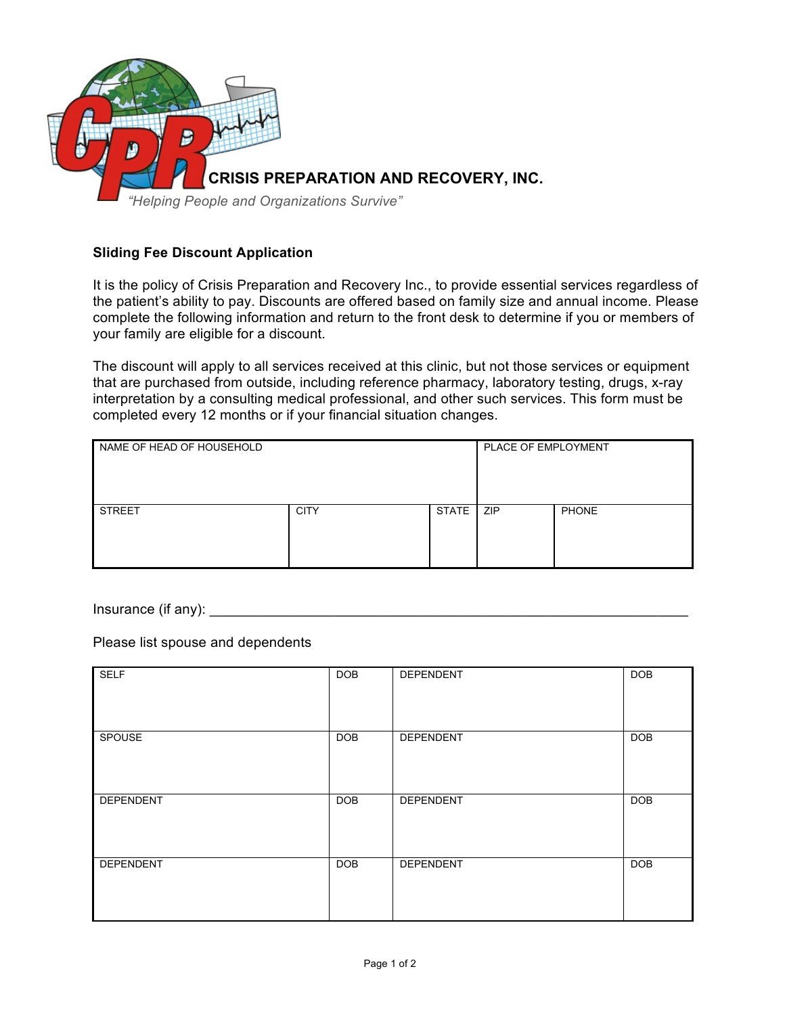

## **Sliding Fee Discount Application**

It is the policy of Crisis Preparation and Recovery Inc., to provide essential services regardless of the patient's ability to pay. Discounts are offered based on family size and annual income. Please complete the following information and return to the front desk to determine if you or members of your family are eligible for a discount.

The discount will apply to all services received at this clinic, but not those services or equipment that are purchased from outside, including reference pharmacy, laboratory testing, drugs, x-ray interpretation by a consulting medical professional, and other such services. This form must be completed every 12 months or if your financial situation changes.

| NAME OF HEAD OF HOUSEHOLD |             |              | PLACE OF EMPLOYMENT |              |
|---------------------------|-------------|--------------|---------------------|--------------|
| <b>STREET</b>             | <b>CITY</b> | <b>STATE</b> | ZIP                 | <b>PHONE</b> |

Insurance (if any):

Please list spouse and dependents

| <b>SELF</b> | <b>DOB</b> | DEPENDENT | <b>DOB</b> |
|-------------|------------|-----------|------------|
| SPOUSE      | <b>DOB</b> | DEPENDENT | <b>DOB</b> |
| DEPENDENT   | <b>DOB</b> | DEPENDENT | <b>DOB</b> |
| DEPENDENT   | <b>DOB</b> | DEPENDENT | <b>DOB</b> |